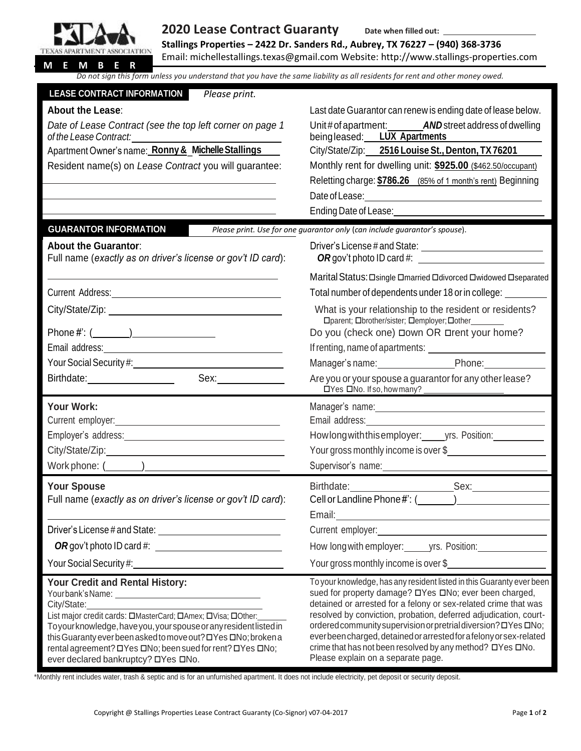

## **2020 Lease Contract Guaranty Date when filled out:**

**Stallings Properties – 2422 Dr. Sanders Rd., Aubrey, TX 76227 – (940) 368-3736** Email: [michellestallings.texas@gmail.com](mailto:michellestallings.texas@gmail.com) Website[: http://www.stallings-properties.com](http://www.stallings-properties.com/)

| Do not sign this form unless you understand that you have the same liability as all residents for rent and other money owed.                                                                             |                                                                                                                                     |
|----------------------------------------------------------------------------------------------------------------------------------------------------------------------------------------------------------|-------------------------------------------------------------------------------------------------------------------------------------|
| <b>LEASE CONTRACT INFORMATION</b><br>Please print.                                                                                                                                                       |                                                                                                                                     |
| <b>About the Lease:</b>                                                                                                                                                                                  | Last date Guarantor can renew is ending date of lease below.                                                                        |
| Date of Lease Contract (see the top left corner on page 1                                                                                                                                                | Unit# of apartment: <b>AND</b> street address of dwelling                                                                           |
|                                                                                                                                                                                                          | beingleased: LUX Apartments                                                                                                         |
| Apartment Owner's name: Ronny & Michelle Stallings                                                                                                                                                       | City/State/Zip: 2516 Louise St., Denton, TX76201                                                                                    |
| Resident name(s) on Lease Contract you will guarantee:                                                                                                                                                   | Monthly rent for dwelling unit: \$925.00 (\$462.50/occupant)                                                                        |
|                                                                                                                                                                                                          | Reletting charge: \$786.26 (85% of 1 month's rent) Beginning                                                                        |
| the control of the control of the control of the control of the control of the control of                                                                                                                | Ending Date of Lease: National Property of Lease and Contract of Lease and Contract of Lease and Contract of Le                     |
|                                                                                                                                                                                                          |                                                                                                                                     |
| <b>GUARANTOR INFORMATION</b>                                                                                                                                                                             | Please print. Use for one guarantor only (can include guarantor's spouse).                                                          |
| <b>About the Guarantor:</b><br>Full name (exactly as on driver's license or gov't ID card):                                                                                                              | OR gov't photo ID card #:                                                                                                           |
|                                                                                                                                                                                                          | Marital Status: Osingle Omarried Odivorced Owidowed Oseparated                                                                      |
|                                                                                                                                                                                                          | Total number of dependents under 18 or in college:                                                                                  |
|                                                                                                                                                                                                          | What is your relationship to the resident or residents?<br>□ parent; Obrother/sister; Oemployer; Oother                             |
|                                                                                                                                                                                                          | Do you (check one) <b>Down OR Drent your home?</b>                                                                                  |
|                                                                                                                                                                                                          |                                                                                                                                     |
|                                                                                                                                                                                                          | Manager's name: Phone: Phone:                                                                                                       |
| Birthdate: Sex: Sex:                                                                                                                                                                                     | Are you or your spouse a guarantor for any other lease?                                                                             |
| Your Work:                                                                                                                                                                                               |                                                                                                                                     |
|                                                                                                                                                                                                          |                                                                                                                                     |
|                                                                                                                                                                                                          | Howlong with this employer: ______ yrs. Position: ____________                                                                      |
|                                                                                                                                                                                                          | Your gross monthly income is over \$                                                                                                |
| Work phone: $\frac{1}{2}$                                                                                                                                                                                |                                                                                                                                     |
| <b>Your Spouse</b>                                                                                                                                                                                       |                                                                                                                                     |
| Full name (exactly as on driver's license or gov't ID card):                                                                                                                                             |                                                                                                                                     |
| <u> 1980 - Johann Barn, mars an t-Amerikaansk politiker (</u>                                                                                                                                            | Email: <u>Contract Communication of the Communication of the Communication</u>                                                      |
|                                                                                                                                                                                                          |                                                                                                                                     |
|                                                                                                                                                                                                          | How long with employer: _______ yrs. Position: _________________________________                                                    |
| Your Social Security #: New Your Social Security #:                                                                                                                                                      | Your gross monthly income is over \$                                                                                                |
| Your Credit and Rental History:                                                                                                                                                                          | To your knowledge, has any resident listed in this Guaranty ever been<br>sued for property damage? □ Yes □ No; ever been charged,   |
| City/State:<br><u> 1980 - Jan Samuel Barbara, margaret e</u> n 1980 eta eta 1980 - Antonio Barbara, espainiar eta 1980 - Antonio Barbara,<br>List major credit cards: OMasterCard; OAmex; OVisa; OOther: | detained or arrested for a felony or sex-related crime that was<br>resolved by conviction, probation, deferred adjudication, court- |
| Toyourknowledge, haveyou, your spouse or any resident listed in                                                                                                                                          | ordered community supervision or pretrial diversion? OYes ONo;                                                                      |
| this Guaranty ever been asked to move out? DYes DNo; broken a<br>rental agreement? DYes DNo; been sued for rent? DYes DNo;                                                                               | everbeen charged, detained or arrested for a felony or sex-related<br>crime that has not been resolved by any method? OYes ONo.     |
| ever declared bankruptcy? DYes DNo.                                                                                                                                                                      | Please explain on a separate page.                                                                                                  |

\*Monthly rent includes water, trash & septic and is for an unfurnished apartment. It does not include electricity, pet deposit or security deposit.